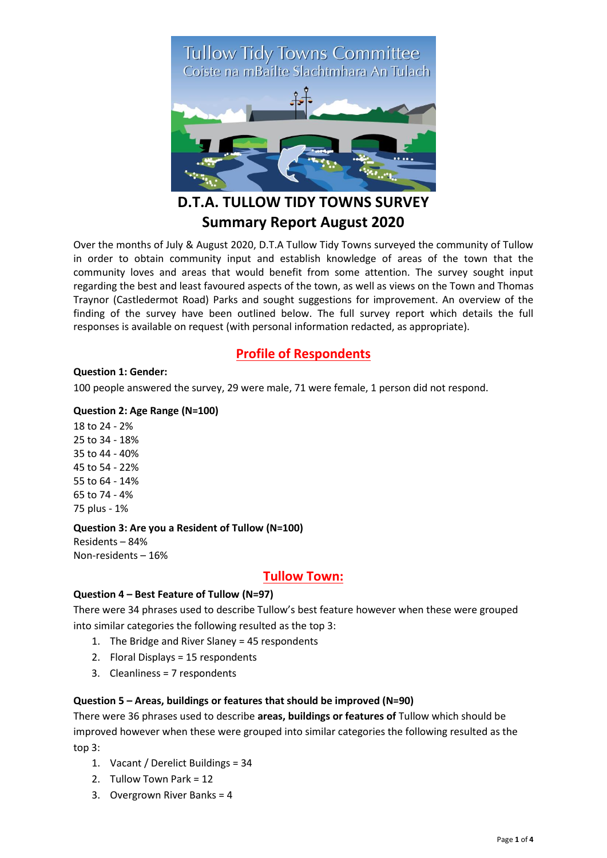# Tullow Tidy Towns Committee<br>Coiste na mBailte Slachtmhara An Tulach



# **D.T.A. TULLOW TIDY TOWNS SURVEY Summary Report August 2020**

Over the months of July & August 2020, D.T.A Tullow Tidy Towns surveyed the community of Tullow in order to obtain community input and establish knowledge of areas of the town that the community loves and areas that would benefit from some attention. The survey sought input regarding the best and least favoured aspects of the town, as well as views on the Town and Thomas Traynor (Castledermot Road) Parks and sought suggestions for improvement. An overview of the finding of the survey have been outlined below. The full survey report which details the full responses is available on request (with personal information redacted, as appropriate).

# **Profile of Respondents**

### **Question 1: Gender:**

100 people answered the survey, 29 were male, 71 were female, 1 person did not respond.

### **Question 2: Age Range (N=100)**

18 to 24 - 2% 25 to 34 - 18% 35 to 44 - 40% 45 to 54 - 22% 55 to 64 - 14% 65 to 74 - 4% 75 plus - 1%

### **Question 3: Are you a Resident of Tullow (N=100)**

Residents – 84% Non-residents – 16%

# **Tullow Town:**

### **Question 4 – Best Feature of Tullow (N=97)**

There were 34 phrases used to describe Tullow's best feature however when these were grouped into similar categories the following resulted as the top 3:

- 1. The Bridge and River Slaney = 45 respondents
- 2. Floral Displays = 15 respondents
- 3. Cleanliness = 7 respondents

### **Question 5 – Areas, buildings or features that should be improved (N=90)**

There were 36 phrases used to describe **areas, buildings or features of** Tullow which should be improved however when these were grouped into similar categories the following resulted as the top 3:

- 1. Vacant / Derelict Buildings = 34
- 2. Tullow Town Park = 12
- 3. Overgrown River Banks = 4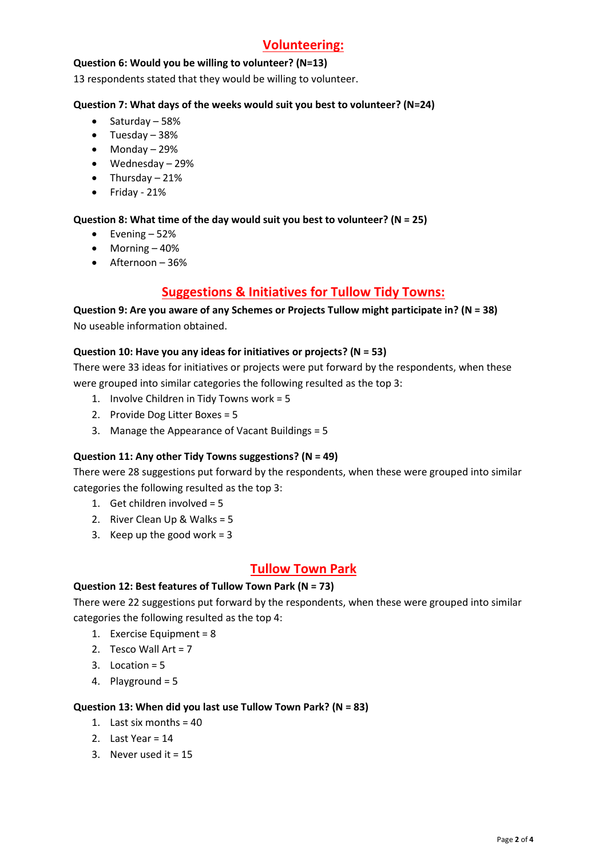# **Volunteering:**

### **Question 6: Would you be willing to volunteer? (N=13)**

13 respondents stated that they would be willing to volunteer.

### **Question 7: What days of the weeks would suit you best to volunteer? (N=24)**

- $\bullet$  Saturday 58%
- Tuesday 38%
- Monday 29%
- Wednesday 29%
- $\bullet$  Thursday 21%
- $\bullet$  Friday 21%

### **Question 8: What time of the day would suit you best to volunteer? (N = 25)**

- $\bullet$  Evening 52%
- $\bullet$  Morning  $-40\%$
- Afternoon 36%

# **Suggestions & Initiatives for Tullow Tidy Towns:**

**Question 9: Are you aware of any Schemes or Projects Tullow might participate in? (N = 38)** No useable information obtained.

### **Question 10: Have you any ideas for initiatives or projects? (N = 53)**

There were 33 ideas for initiatives or projects were put forward by the respondents, when these were grouped into similar categories the following resulted as the top 3:

- 1. Involve Children in Tidy Towns work = 5
- 2. Provide Dog Litter Boxes = 5
- 3. Manage the Appearance of Vacant Buildings = 5

### **Question 11: Any other Tidy Towns suggestions? (N = 49)**

There were 28 suggestions put forward by the respondents, when these were grouped into similar categories the following resulted as the top 3:

- 1. Get children involved = 5
- 2. River Clean Up & Walks = 5
- 3. Keep up the good work  $= 3$

# **Tullow Town Park**

### **Question 12: Best features of Tullow Town Park (N = 73)**

There were 22 suggestions put forward by the respondents, when these were grouped into similar categories the following resulted as the top 4:

- 1. Exercise Equipment = 8
- 2. Tesco Wall Art = 7
- 3. Location = 5
- 4. Playground = 5

### **Question 13: When did you last use Tullow Town Park? (N = 83)**

- 1. Last six months = 40
- 2. Last Year = 14
- 3. Never used it = 15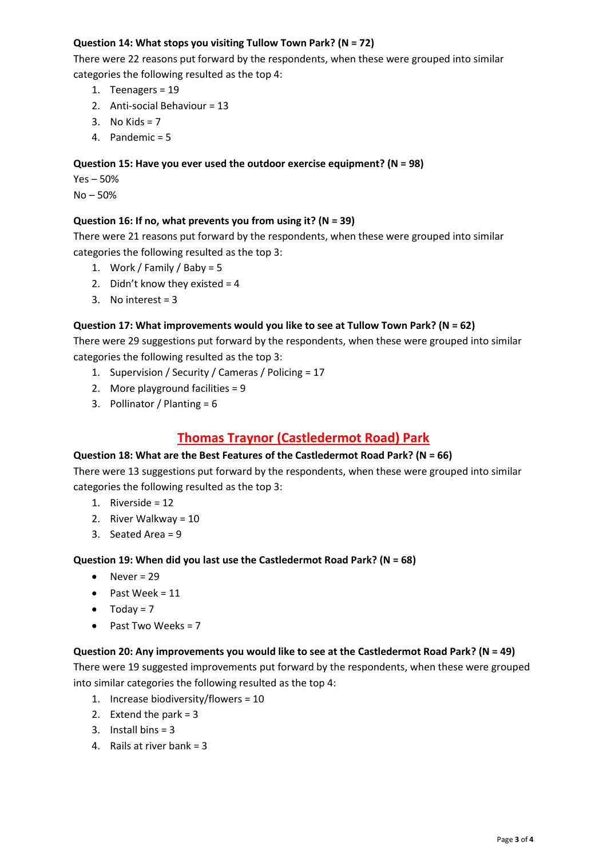### **Question 14: What stops you visiting Tullow Town Park? (N = 72)**

There were 22 reasons put forward by the respondents, when these were grouped into similar categories the following resulted as the top 4:

- 1. Teenagers = 19
- 2. Anti-social Behaviour = 13
- 3. No Kids =  $7$
- 4. Pandemic = 5

### **Question 15: Have you ever used the outdoor exercise equipment? (N = 98)**

Yes – 50% No – 50%

### **Question 16: If no, what prevents you from using it? (N = 39)**

There were 21 reasons put forward by the respondents, when these were grouped into similar categories the following resulted as the top 3:

- 1. Work / Family / Baby = 5
- 2. Didn't know they existed  $= 4$
- 3. No interest = 3

### **Question 17: What improvements would you like to see at Tullow Town Park? (N = 62)**

There were 29 suggestions put forward by the respondents, when these were grouped into similar categories the following resulted as the top 3:

- 1. Supervision / Security / Cameras / Policing = 17
- 2. More playground facilities = 9
- 3. Pollinator / Planting = 6

# **Thomas Traynor (Castledermot Road) Park**

### **Question 18: What are the Best Features of the Castledermot Road Park? (N = 66)**

There were 13 suggestions put forward by the respondents, when these were grouped into similar categories the following resulted as the top 3:

- 1. Riverside = 12
- 2. River Walkway = 10
- 3. Seated Area = 9

**Question 19: When did you last use the Castledermot Road Park? (N = 68)**

- $\bullet$  Never = 29
- $\bullet$  Past Week = 11
- $\bullet$  Today = 7
- Past Two Weeks =  $7$

### **Question 20: Any improvements you would like to see at the Castledermot Road Park? (N = 49)**

There were 19 suggested improvements put forward by the respondents, when these were grouped into similar categories the following resulted as the top 4:

- 1. Increase biodiversity/flowers = 10
- 2. Extend the park =  $3$
- 3. Install bins = 3
- 4. Rails at river bank = 3